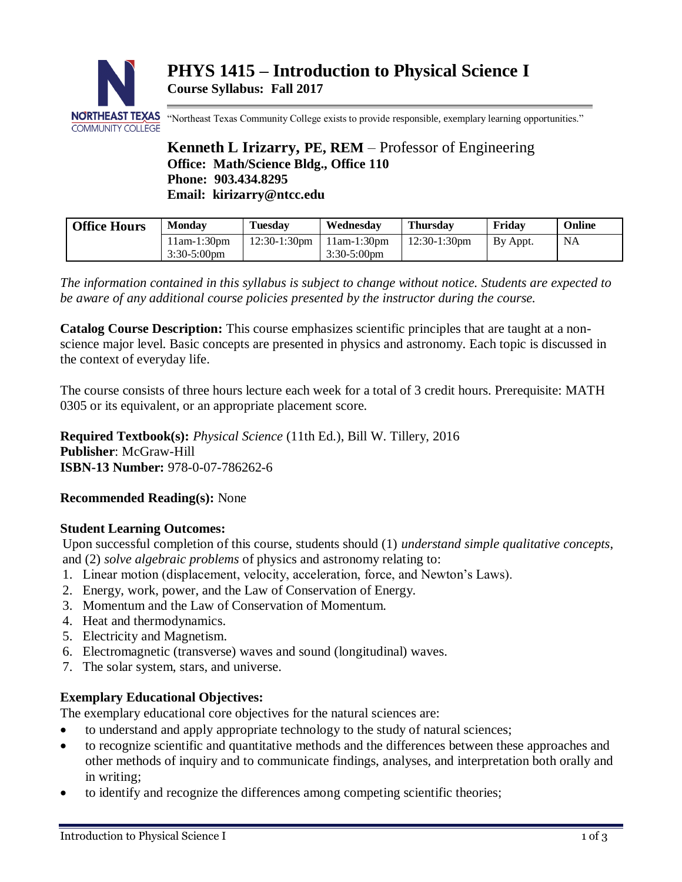

"Northeast Texas Community College exists to provide responsible, exemplary learning opportunities."

# **Kenneth L Irizarry, PE, REM** – Professor of Engineering **Office: Math/Science Bldg., Office 110 Phone: 903.434.8295 Email: kirizarry@ntcc.edu**

| <b>Office Hours</b> | <b>Monday</b>                   | <b>Tuesday</b>  | Wednesdav                       | Thursday        | Friday   | <b>Online</b> |
|---------------------|---------------------------------|-----------------|---------------------------------|-----------------|----------|---------------|
|                     | $11am-1:30pm$<br>$3:30-5:00$ pm | $12:30-1:30$ pm | $11am-1:30gm$<br>$3:30-5:00$ pm | $12:30-1:30$ pm | By Appt. | <b>NA</b>     |

*The information contained in this syllabus is subject to change without notice. Students are expected to be aware of any additional course policies presented by the instructor during the course.*

**Catalog Course Description:** This course emphasizes scientific principles that are taught at a nonscience major level. Basic concepts are presented in physics and astronomy. Each topic is discussed in the context of everyday life.

The course consists of three hours lecture each week for a total of 3 credit hours. Prerequisite: MATH 0305 or its equivalent, or an appropriate placement score.

**Required Textbook(s):** *Physical Science* (11th Ed.), Bill W. Tillery, 2016 **Publisher**: McGraw-Hill **ISBN-13 Number:** 978-0-07-786262-6

# **Recommended Reading(s):** None

### **Student Learning Outcomes:**

Upon successful completion of this course, students should (1) *understand simple qualitative concepts*, and (2) *solve algebraic problems* of physics and astronomy relating to:

- 1. Linear motion (displacement, velocity, acceleration, force, and Newton's Laws).
- 2. Energy, work, power, and the Law of Conservation of Energy.
- 3. Momentum and the Law of Conservation of Momentum.
- 4. Heat and thermodynamics.
- 5. Electricity and Magnetism.
- 6. Electromagnetic (transverse) waves and sound (longitudinal) waves.
- 7. The solar system, stars, and universe.

# **Exemplary Educational Objectives:**

The exemplary educational core objectives for the natural sciences are:

- to understand and apply appropriate technology to the study of natural sciences;
- to recognize scientific and quantitative methods and the differences between these approaches and other methods of inquiry and to communicate findings, analyses, and interpretation both orally and in writing;
- to identify and recognize the differences among competing scientific theories;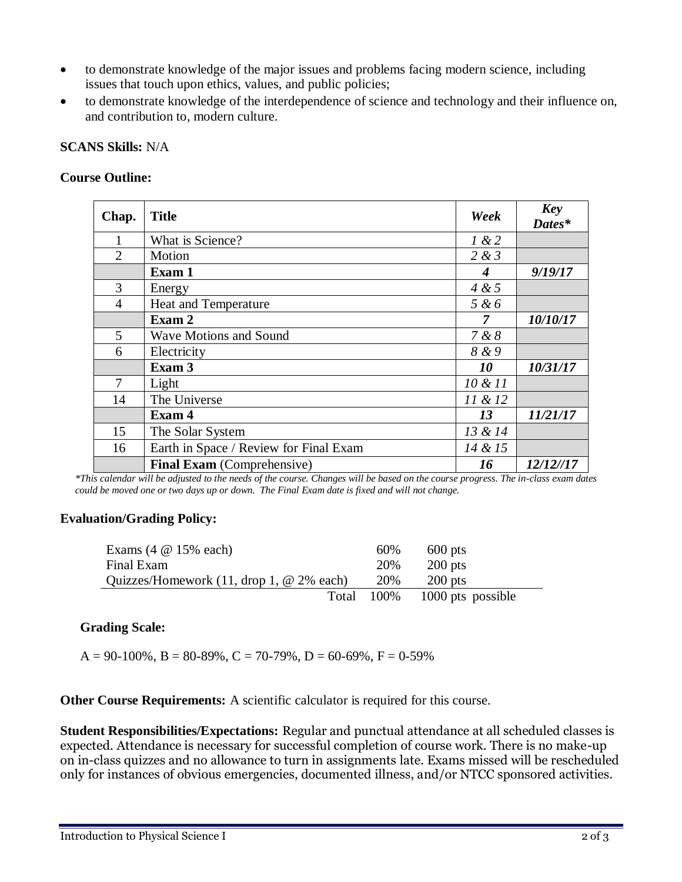- to demonstrate knowledge of the major issues and problems facing modern science, including issues that touch upon ethics, values, and public policies;
- to demonstrate knowledge of the interdependence of science and technology and their influence on, and contribution to, modern culture.

#### **SCANS Skills:** N/A

#### **Course Outline:**

| Chap.          | <b>Title</b>                           | Week       | <b>Key</b><br>Dates* |
|----------------|----------------------------------------|------------|----------------------|
|                | What is Science?                       | 1 & 2      |                      |
| $\overline{2}$ | Motion                                 | 2 & 3      |                      |
|                | Exam 1                                 | 4          | 9/19/17              |
| 3              | Energy                                 | 4 & 5      |                      |
| $\overline{4}$ | Heat and Temperature                   | 5 & 6      |                      |
|                | Exam 2                                 | 7          | 10/10/17             |
| 5              | <b>Wave Motions and Sound</b>          | 7 & 8      |                      |
| 6              | Electricity                            | 8 & 9      |                      |
|                | Exam 3                                 | 10         | 10/31/17             |
| 7              | Light                                  | $10 \& 11$ |                      |
| 14             | The Universe                           | 11 & 12    |                      |
|                | Exam 4                                 | 13         | 11/21/17             |
| 15             | The Solar System                       | 13 & 14    |                      |
| 16             | Earth in Space / Review for Final Exam | 14 & 15    |                      |
|                | <b>Final Exam</b> (Comprehensive)      | 16         | 12/12//17            |

*\*This calendar will be adjusted to the needs of the course. Changes will be based on the course progress. The in-class exam dates could be moved one or two days up or down. The Final Exam date is fixed and will not change.*

### **Evaluation/Grading Policy:**

| Exams $(4 \otimes 15\% \text{ each})$                               | 60%        | $600$ pts         |
|---------------------------------------------------------------------|------------|-------------------|
| Final Exam                                                          | 20%        | $200$ pts         |
| Quizzes/Homework $(11, \text{drop } 1, \text{@ } 2\% \text{ each})$ | 20%        | $200$ pts         |
|                                                                     | Total 100% | 1000 pts possible |

### **Grading Scale:**

 $A = 90-100\%$ ,  $B = 80-89\%$ ,  $C = 70-79\%$ ,  $D = 60-69\%$ ,  $F = 0-59\%$ 

**Other Course Requirements:** A scientific calculator is required for this course.

**Student Responsibilities/Expectations:** Regular and punctual attendance at all scheduled classes is expected. Attendance is necessary for successful completion of course work. There is no make-up on in-class quizzes and no allowance to turn in assignments late. Exams missed will be rescheduled only for instances of obvious emergencies, documented illness, and/or NTCC sponsored activities.